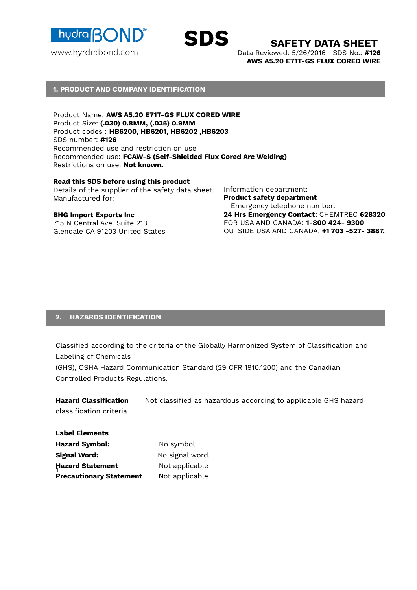

**SDS SAFETY DATA SHEET**

Data Reviewed: 5/26/2016 SDS No.: **#126 AWS A5.20 E71T-GS FLUX CORED WIRE**

#### **1. PRODUCT AND COMPANY IDENTIFICATION**

Product Name: **AWS A5.20 E71T-GS FLUX CORED WIRE**  Product Size: **(.030) 0.8MM, (.035) 0.9MM** Product codes : **HB6200, HB6201, HB6202 ,HB6203** SDS number: **#126** Recommended use and restriction on use Recommended use: **FCAW-S (Self-Shielded Flux Cored Arc Welding)** Restrictions on use: **Not known.**

#### **Read this SDS before using this product**

Details of the supplier of the safety data sheet Manufactured for:

#### **BHG Import Exports Inc**

715 N Central Ave. Suite 213. Glendale CA 91203 United States Information department: **Product safety department** Emergency telephone number: **24 Hrs Emergency Contact:** CHEMTREC **628320** FOR USA AND CANADA: **1-800 424- 9300** OUTSIDE USA AND CANADA: **+1 703 -527- 3887.**

#### **2. HAZARDS IDENTIFICATION**

Classified according to the criteria of the Globally Harmonized System of Classification and Labeling of Chemicals

(GHS), OSHA Hazard Communication Standard (29 CFR 1910.1200) and the Canadian Controlled Products Regulations.

**Hazard Classification** Not classified as hazardous according to applicable GHS hazard classification criteria.

**Hazard Statement Not applicable Label Elements**  Hazard Symbol: No symbol **Signal Word:** No signal word. **Precautionary Statement** Not applicable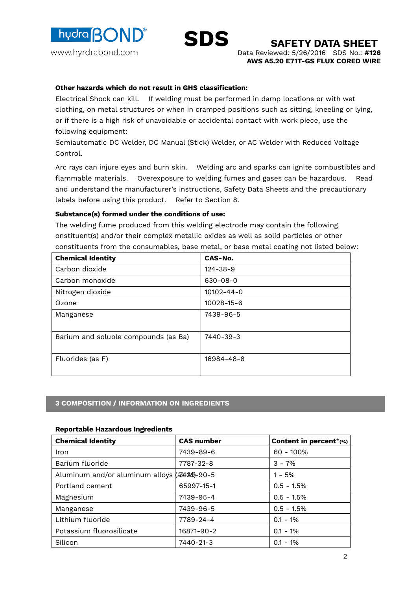



Data Reviewed: 5/26/2016 SDS No.: **#126 AWS A5.20 E71T-GS FLUX CORED WIRE**

## **Other hazards which do not result in GHS classification:**

Electrical Shock can kill. If welding must be performed in damp locations or with wet clothing, on metal structures or when in cramped positions such as sitting, kneeling or lying, or if there is a high risk of unavoidable or accidental contact with work piece, use the following equipment:

Semiautomatic DC Welder, DC Manual (Stick) Welder, or AC Welder with Reduced Voltage Control.

Arc rays can injure eyes and burn skin. Welding arc and sparks can ignite combustibles and flammable materials. Overexposure to welding fumes and gases can be hazardous. Read and understand the manufacturer's instructions, Safety Data Sheets and the precautionary labels before using this product. Refer to Section 8.

## **Substance(s) formed under the conditions of use:**

The welding fume produced from this welding electrode may contain the following onstituent(s) and/or their complex metallic oxides as well as solid particles or other constituents from the consumables, base metal, or base metal coating not listed below:

| <b>Chemical Identity</b>             | CAS-No.          |
|--------------------------------------|------------------|
| Carbon dioxide                       | $124 - 38 - 9$   |
| Carbon monoxide                      | $630 - 08 - 0$   |
| Nitrogen dioxide                     | $10102 - 44 - 0$ |
| Ozone                                | $10028 - 15 - 6$ |
| Manganese                            | 7439-96-5        |
| Barium and soluble compounds (as Ba) | 7440-39-3        |
| Fluorides (as F)                     | 16984-48-8       |

## **3 COMPOSITION / INFORMATION ON INGREDIENTS**

## **Reportable Hazardous Ingredients**

| <b>Chemical Identity</b>                   | <b>CAS number</b> | Content in percent*(%) |
|--------------------------------------------|-------------------|------------------------|
| Iron                                       | 7439-89-6         | $60 - 100\%$           |
| Barium fluoride                            | 7787-32-8         | $3 - 7%$               |
| Aluminum and/or aluminum alloys (a489-90-5 |                   | $1 - 5%$               |
| Portland cement                            | 65997-15-1        | $0.5 - 1.5%$           |
| Magnesium                                  | 7439-95-4         | $0.5 - 1.5%$           |
| Manganese                                  | 7439-96-5         | $0.5 - 1.5%$           |
| Lithium fluoride                           | 7789-24-4         | $0.1 - 1\%$            |
| Potassium fluorosilicate                   | 16871-90-2        | $0.1 - 1\%$            |
| Silicon                                    | 7440-21-3         | $0.1 - 1\%$            |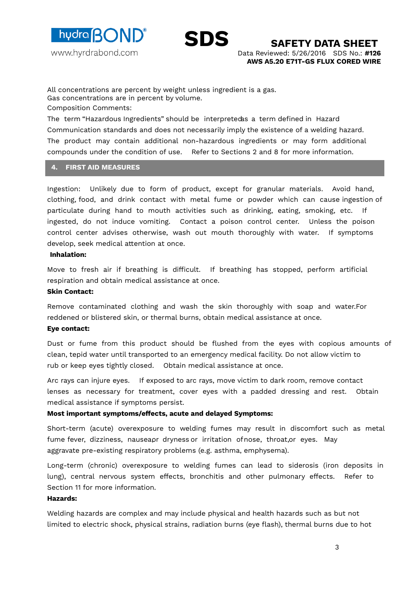



All concentrations are percent by weight unless ingredient is a gas. Gas concentrations are in percent by volume.

Composition Comments:

The term "Hazardous Ingredients" should be interpretedas a term defined in Hazard Communication standards and does not necessarily imply the existence of a welding hazard. The product may contain additional non-hazardous ingredients or may form additional compounds under the condition of use. Refer to Sections 2 and 8 for more information.

#### **4. FIRST AID MEASURES**

Ingestion: Unlikely due to form of product, except for granular materials. Avoid hand, clothing, food, and drink contact with metal fume or powder which can cause ingestion of particulate during hand to mouth activities such as drinking, eating, smoking, etc. If ingested, do not induce vomiting. Contact a poison control center. Unless the poison control center advises otherwise, wash out mouth thoroughly with water. If symptoms develop, seek medical attention at once.

#### **Inhalation:**

Move to fresh air if breathing is difficult. If breathing has stopped, perform artificial respiration and obtain medical assistance at once.

#### **Skin Contact:**

Remove contaminated clothing and wash the skin thoroughly with soap and water.For reddened or blistered skin, or thermal burns, obtain medical assistance at once.

## **Eye contact:**

Dust or fume from this product should be flushed from the eyes with copious amounts of clean, tepid water until transported to an emergency medical facility. Do not allow victim to rub or keep eyes tightly closed. Obtain medical assistance at once.

Arc rays can injure eyes. If exposed to arc rays, move victim to dark room, remove contact lenses as necessary for treatment, cover eyes with a padded dressing and rest. Obtain medical assistance if symptoms persist.

## **Most important symptoms/effects, acute and delayed Symptoms:**

Short-term (acute) overexposure to welding fumes may result in discomfort such as metal fume fever, dizziness, nauseapr dryness or irritation ofnose, throat, or eyes. May aggravate pre-existing respiratory problems (e.g. asthma, emphysema).

Long-term (chronic) overexposure to welding fumes can lead to siderosis (iron deposits in lung), central nervous system effects, bronchitis and other pulmonary effects. Refer to Section 11 for more information.

## **Hazards:**

Welding hazards are complex and may include physical and health hazards such as but not limited to electric shock, physical strains, radiation burns (eye flash), thermal burns due to hot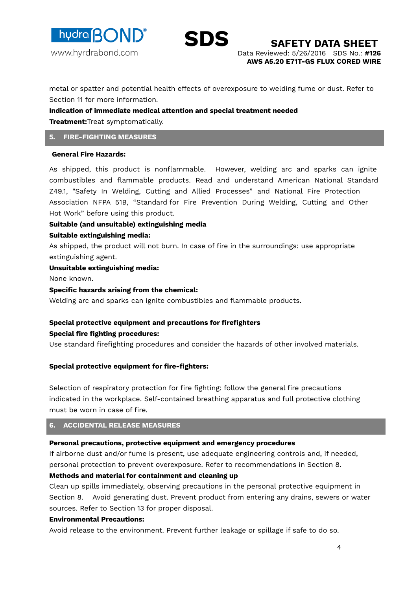



metal or spatter and potential health effects of overexposure to welding fume or dust. Refer to Section 11 for more information.

#### **Indication of immediate medical attention and special treatment needed**

**Treatment:**Treat symptomatically.

#### **5. FIRE-FIGHTING MEASURES**

#### **General Fire Hazards:**

As shipped, this product is nonflammable. However, welding arc and sparks can ignite combustibles and flammable products. Read and understand American National Standard Z49.1, "Safety In Welding, Cutting and Allied Processes" and National Fire Protection Association NFPA 51B, "Standard for Fire Prevention During Welding, Cutting and Other Hot Work" before using this product.

#### **Suitable (and unsuitable) extinguishing media**

#### **Suitable extinguishing media:**

As shipped, the product will not burn. In case of fire in the surroundings: use appropriate extinguishing agent.

#### **Unsuitable extinguishing media:**

None known.

#### **Specific hazards arising from the chemical:**

Welding arc and sparks can ignite combustibles and flammable products.

## **Special protective equipment and precautions for firefighters**

#### **Special fire fighting procedures:**

Use standard firefighting procedures and consider the hazards of other involved materials.

## **Special protective equipment for fire-fighters:**

Selection of respiratory protection for fire fighting: follow the general fire precautions indicated in the workplace. Self-contained breathing apparatus and full protective clothing must be worn in case of fire.

#### **6. ACCIDENTAL RELEASE MEASURES**

#### **Personal precautions, protective equipment and emergency procedures**

If airborne dust and/or fume is present, use adequate engineering controls and, if needed, personal protection to prevent overexposure. Refer to recommendations in Section 8.

## **Methods and material for containment and cleaning up**

Clean up spills immediately, observing precautions in the personal protective equipment in Section 8. Avoid generating dust. Prevent product from entering any drains, sewers or water sources. Refer to Section 13 for proper disposal.

## **Environmental Precautions:**

Avoid release to the environment. Prevent further leakage or spillage if safe to do so.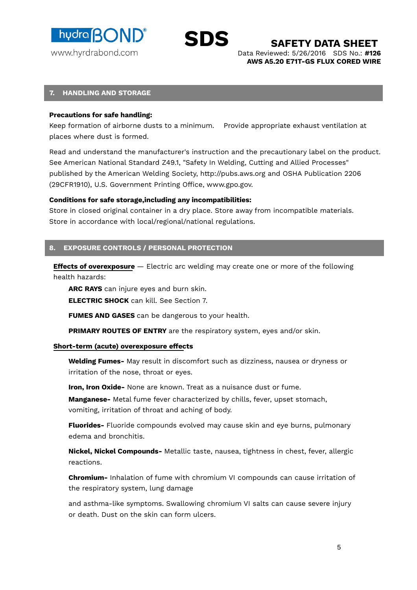hydra **BOND** www.hyrdrabond.com



**SAFETY DATA SHEET** 

Data Reviewed: 5/26/2016 SDS No.: **#126 AWS A5.20 E71T-GS FLUX CORED WIRE**

#### **7. HANDLING AND STORAGE**

#### **Precautions for safe handling:**

Keep formation of airborne dusts to a minimum. Provide appropriate exhaust ventilation at places where dust is formed.

Read and understand the manufacturer's instruction and the precautionary label on the product. See American National Standard Z49.1, "Safety In Welding, Cutting and Allied Processes" published by the American Welding Society, http://pubs.aws.org and OSHA Publication 2206 (29CFR1910), U.S. Government Printing Office, www.gpo.gov.

## **Conditions for safe storage,including any incompatibilities:**

Store in closed original container in a dry place. Store away from incompatible materials. Store in accordance with local/regional/national regulations.

## **8. EXPOSURE CONTROLS / PERSONAL PROTECTION**

**Effects of overexposure** – Electric arc welding may create one or more of the following health hazards:

**ARC RAYS** can injure eyes and burn skin.

**ELECTRIC SHOCK** can kill. See Section 7.

**FUMES AND GASES** can be dangerous to your health.

**PRIMARY ROUTES OF ENTRY** are the respiratory system, eyes and/or skin.

#### **Short-term (acute) overexposure effects**

**Welding Fumes-** May result in discomfort such as dizziness, nausea or dryness or irritation of the nose, throat or eyes.

**Iron, Iron Oxide-** None are known. Treat as a nuisance dust or fume.

**Manganese-** Metal fume fever characterized by chills, fever, upset stomach, vomiting, irritation of throat and aching of body.

**Fluorides-** Fluoride compounds evolved may cause skin and eye burns, pulmonary edema and bronchitis.

**Nickel, Nickel Compounds-** Metallic taste, nausea, tightness in chest, fever, allergic reactions.

**Chromium-** Inhalation of fume with chromium VI compounds can cause irritation of the respiratory system, lung damage

and asthma-like symptoms. Swallowing chromium VI salts can cause severe injury or death. Dust on the skin can form ulcers.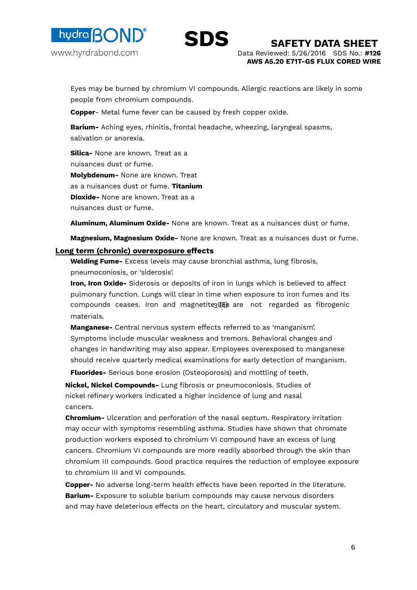



Eyes may be burned by chromium VI compounds. Allergic reactions are likely in some people from chromium compounds.

**Copper**- Metal fume fever can be caused by fresh copper oxide.

**Barium-** Aching eyes, rhinitis, frontal headache, wheezing, laryngeal spasms, salivation or anorexia.

**Silica-** None are known. Treat as a nuisances dust or fume. **Molybdenum-** None are known. Treat as a nuisances dust or fume. **Titanium Dioxide-** None are known. Treat as a nuisances dust or fume.

**Aluminum, Aluminum Oxide-** None are known. Treat as a nuisances dust or fume.

**Magnesium, Magnesium Oxide-** None are known. Treat as a nuisances dust or fume.

#### **Long term (chronic) overexposure effects**

**Welding Fume-** Excess levels may cause bronchial asthma, lung fibrosis, pneumoconiosis, or 'siderosis'.

**Iron, Iron Oxide-** Siderosis or deposits of iron in lungs which is believed to affect pulmonary function. Lungs will clear in time when exposure to iron fumes and its compounds ceases. Iron and magnetites  $(\mathbf{F} \mathbf{F})$  are not regarded as fibrogenic materials.

**Manganese-** Central nervous system effects referred to as 'manganism'. Symptoms include muscular weakness and tremors. Behavioral changes and changes in handwriting may also appear. Employees overexposed to manganese should receive quarterly medical examinations for early detection of manganism.

**Fluorides-** Serious bone erosion (Osteoporosis) and mottling of teeth.

**Nickel, Nickel Compounds-** Lung fibrosis or pneumoconiosis. Studies of nickel refinery workers indicated a higher incidence of lung and nasal cancers.

**Chromium-** Ulceration and perforation of the nasal septum. Respiratory irritation may occur with symptoms resembling asthma. Studies have shown that chromate production workers exposed to chromium VI compound have an excess of lung cancers. Chromium VI compounds are more readily absorbed through the skin than chromium III compounds. Good practice requires the reduction of employee exposure to chromium III and VI compounds.

**Copper-** No adverse long-term health effects have been reported in the literature. **Barium-** Exposure to soluble barium compounds may cause nervous disorders and may have deleterious effects on the heart, circulatory and muscular system.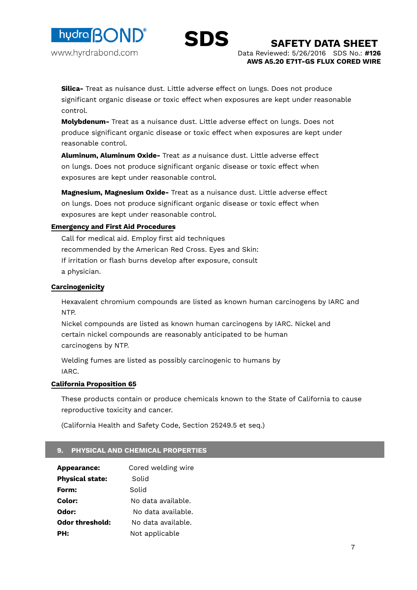



Data Reviewed: 5/26/2016 SDS No.: **#126 AWS A5.20 E71T-GS FLUX CORED WIRE SAFETY DATA SHEET** 

**Silica-** Treat as nuisance dust. Little adverse effect on lungs. Does not produce significant organic disease or toxic effect when exposures are kept under reasonable control.

**Molybdenum-** Treat as a nuisance dust. Little adverse effect on lungs. Does not produce significant organic disease or toxic effect when exposures are kept under reasonable control.

**Aluminum, Aluminum Oxide-** Treat as a nuisance dust. Little adverse effect on lungs. Does not produce significant organic disease or toxic effect when exposures are kept under reasonable control.

**Magnesium, Magnesium Oxide-** Treat as a nuisance dust. Little adverse effect on lungs. Does not produce significant organic disease or toxic effect when exposures are kept under reasonable control.

## **Emergency and First Aid Procedures**

Call for medical aid. Employ first aid techniques recommended by the American Red Cross. Eyes and Skin: If irritation or flash burns develop after exposure, consult a physician.

## **Carcinogenicity**

Hexavalent chromium compounds are listed as known human carcinogens by IARC and NTP.

Nickel compounds are listed as known human carcinogens by IARC. Nickel and certain nickel compounds are reasonably anticipated to be human carcinogens by NTP.

Welding fumes are listed as possibly carcinogenic to humans by IARC.

## **California Proposition 65**

These products contain or produce chemicals known to the State of California to cause reproductive toxicity and cancer.

(California Health and Safety Code, Section 25249.5 et seq.)

## **9. PHYSICAL AND CHEMICAL PROPERTIES**

| Appearance:            | Cored welding wire |
|------------------------|--------------------|
| <b>Physical state:</b> | Solid              |
| Form:                  | Solid              |
| Color:                 | No data available. |
| Odor:                  | No data available. |
| Odor threshold:        | No data available. |
| PH:                    | Not applicable     |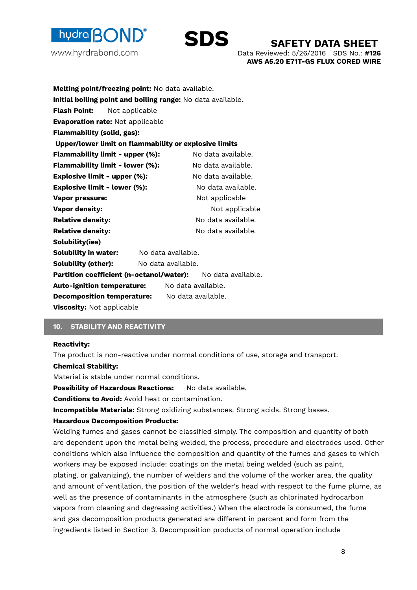



Data Reviewed: 5/26/2016 SDS No.: **#126 AWS A5.20 E71T-GS FLUX CORED WIRE**

| Melting point/freezing point: No data available.            |                                                             |  |  |
|-------------------------------------------------------------|-------------------------------------------------------------|--|--|
|                                                             | Initial boiling point and boiling range: No data available. |  |  |
| Flash Point:<br>Not applicable                              |                                                             |  |  |
| <b>Evaporation rate: Not applicable</b>                     |                                                             |  |  |
| <b>Flammability (solid, gas):</b>                           |                                                             |  |  |
| Upper/lower limit on flammability or explosive limits       |                                                             |  |  |
| Flammability limit - upper (%):                             | No data available.                                          |  |  |
| Flammability limit - lower (%):                             | No data available.                                          |  |  |
| <b>Explosive limit - upper (%):</b>                         | No data available.                                          |  |  |
| <b>Explosive limit - lower (%):</b>                         | No data available.                                          |  |  |
| <b>Vapor pressure:</b>                                      | Not applicable                                              |  |  |
| <b>Vapor density:</b>                                       | Not applicable                                              |  |  |
| <b>Relative density:</b>                                    | No data available.                                          |  |  |
| <b>Relative density:</b>                                    | No data available.                                          |  |  |
| Solubility(ies)                                             |                                                             |  |  |
| <b>Solubility in water:</b>                                 | No data available.                                          |  |  |
| <b>Solubility (other):</b>                                  | No data available.                                          |  |  |
| Partition coefficient (n-octanol/water): No data available. |                                                             |  |  |
| <b>Auto-ignition temperature:</b>                           | No data available.                                          |  |  |
| <b>Decomposition temperature:</b>                           | No data available.                                          |  |  |
| Viscosity: Not applicable                                   |                                                             |  |  |

## **10. STABILITY AND REACTIVITY**

#### **Reactivity:**

The product is non-reactive under normal conditions of use, storage and transport.

#### **Chemical Stability:**

Material is stable under normal conditions.

**Possibility of Hazardous Reactions:** No data available.

**Conditions to Avoid:** Avoid heat or contamination.

**Incompatible Materials:** Strong oxidizing substances. Strong acids. Strong bases.

#### **Hazardous Decomposition Products:**

Welding fumes and gases cannot be classified simply. The composition and quantity of both are dependent upon the metal being welded, the process, procedure and electrodes used. Other conditions which also influence the composition and quantity of the fumes and gases to which workers may be exposed include: coatings on the metal being welded (such as paint, plating, or galvanizing), the number of welders and the volume of the worker area, the quality and amount of ventilation, the position of the welder's head with respect to the fume plume, as well as the presence of contaminants in the atmosphere (such as chlorinated hydrocarbon vapors from cleaning and degreasing activities.) When the electrode is consumed, the fume and gas decomposition products generated are different in percent and form from the ingredients listed in Section 3. Decomposition products of normal operation include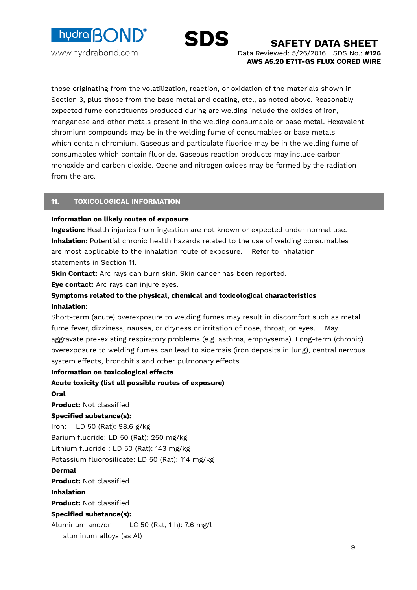



Data Reviewed: 5/26/2016 SDS No.: **#126 AWS A5.20 E71T-GS FLUX CORED WIRE**

those originating from the volatilization, reaction, or oxidation of the materials shown in Section 3, plus those from the base metal and coating, etc., as noted above. Reasonably expected fume constituents produced during arc welding include the oxides of iron, manganese and other metals present in the welding consumable or base metal. Hexavalent chromium compounds may be in the welding fume of consumables or base metals which contain chromium. Gaseous and particulate fluoride may be in the welding fume of consumables which contain fluoride. Gaseous reaction products may include carbon monoxide and carbon dioxide. Ozone and nitrogen oxides may be formed by the radiation from the arc.

#### **11. TOXICOLOGICAL INFORMATION**

#### **Information on likely routes of exposure**

**Ingestion:** Health injuries from ingestion are not known or expected under normal use. **Inhalation:** Potential chronic health hazards related to the use of welding consumables are most applicable to the inhalation route of exposure. Refer to Inhalation statements in Section 11.

**Skin Contact:** Arc rays can burn skin. Skin cancer has been reported.

**Eye contact:** Arc rays can injure eyes.

## **Symptoms related to the physical, chemical and toxicological characteristics Inhalation:**

Short-term (acute) overexposure to welding fumes may result in discomfort such as metal fume fever, dizziness, nausea, or dryness or irritation of nose, throat, or eyes. May aggravate pre-existing respiratory problems (e.g. asthma, emphysema). Long-term (chronic) overexposure to welding fumes can lead to siderosis (iron deposits in lung), central nervous system effects, bronchitis and other pulmonary effects.

## **Information on toxicological effects**

 9 **Acute toxicity (list all possible routes of exposure) Oral Product:** Not classified **Specified substance(s):**  Iron: LD 50 (Rat): 98.6 g/kg Barium fluoride: LD 50 (Rat): 250 mg/kg Lithium fluoride : LD 50 (Rat): 143 mg/kg Potassium fluorosilicate: LD 50 (Rat): 114 mg/kg **Dermal Product:** Not classified **Inhalation Product:** Not classified **Specified substance(s):**  Aluminum and/or LC 50 (Rat, 1 h): 7.6 mg/l aluminum alloys (as Al)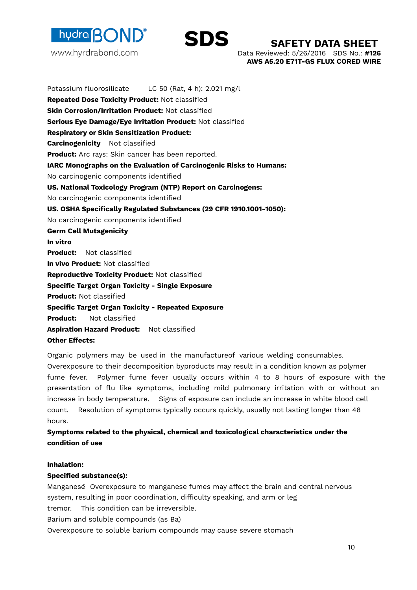



Data Reviewed: 5/26/2016 SDS No.: **#126 AWS A5.20 E71T-GS FLUX CORED WIRE**

Potassium fluorosilicate LC 50 (Rat, 4 h): 2.021 mg/l **Repeated Dose Toxicity Product:** Not classified **Skin Corrosion/Irritation Product:** Not classified **Serious Eye Damage/Eye Irritation Product:** Not classified **Respiratory or Skin Sensitization Product: Carcinogenicity** Not classified **Product:** Arc rays: Skin cancer has been reported. **IARC Monographs on the Evaluation of Carcinogenic Risks to Humans:**  No carcinogenic components identified **US. National Toxicology Program (NTP) Report on Carcinogens:**  No carcinogenic components identified **US. OSHA Specifically Regulated Substances (29 CFR 1910.1001-1050):**  No carcinogenic components identified **Germ Cell Mutagenicity In vitro Product:** Not classified **In vivo Product:** Not classified **Reproductive Toxicity Product:** Not classified **Specific Target Organ Toxicity - Single Exposure Product:** Not classified **Specific Target Organ Toxicity - Repeated Exposure Product:** Not classified **Aspiration Hazard Product:** Not classified **Other Effects:** 

Organic polymers may be used in the manufactureof various welding consumables. Overexposure to their decomposition byproducts may result in a condition known as polymer fume fever. Polymer fume fever usually occurs within 4 to 8 hours of exposure with the presentation of flu like symptoms, including mild pulmonary irritation with or without an increase in body temperature. Signs of exposure can include an increase in white blood cell count. Resolution of symptoms typically occurs quickly, usually not lasting longer than 48 hours.

## **Symptoms related to the physical, chemical and toxicological characteristics under the condition of use**

## **Inhalation:**

## **Specified substance(s):**

Manganese: Overexposure to manganese fumes may affect the brain and central nervous system, resulting in poor coordination, difficulty speaking, and arm or leg tremor. This condition can be irreversible. Barium and soluble compounds (as Ba)

Overexposure to soluble barium compounds may cause severe stomach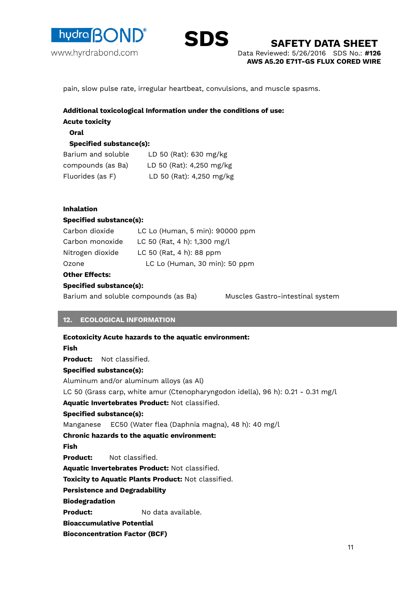



Data Reviewed: 5/26/2016 SDS No.: **#126 AWS A5.20 E71T-GS FLUX CORED WIRE SAFETY DATA SHEET** 

pain, slow pulse rate, irregular heartbeat, convulsions, and muscle spasms.

## **Additional toxicological Information under the conditions of use:**

**Acute toxicity** 

#### **Oral**

## **Specified substance(s):**

| Barium and soluble | LD 50 (Rat): 630 mg/kg   |
|--------------------|--------------------------|
| compounds (as Ba)  | LD 50 (Rat): 4,250 mg/kg |
| Fluorides (as F)   | LD 50 (Rat): 4,250 mg/kg |

## **Inhalation**

## **Specified substance(s):**

| Carbon dioxide   | LC Lo (Human, 5 min): 90000 ppm |
|------------------|---------------------------------|
| Carbon monoxide  | LC 50 (Rat, 4 h): 1,300 mg/l    |
| Nitrogen dioxide | LC 50 (Rat, 4 h): 88 ppm        |
| Ozone            | LC Lo (Human, 30 min): 50 ppm   |
|                  |                                 |

## **Other Effects:**

## **Specified substance(s):**

Barium and soluble compounds (as Ba) Muscles Gastro-intestinal system

## **12. ECOLOGICAL INFORMATION**

 $11$ **Ecotoxicity Acute hazards to the aquatic environment: Fish Product:** Not classified. **Specified substance(s):**  Aluminum and/or aluminum alloys (as Al) LC 50 (Grass carp, white amur (Ctenopharyngodon idella), 96 h): 0.21 - 0.31 mg/l **Aquatic Invertebrates Product:** Not classified. **Specified substance(s):**  Manganese EC50 (Water flea (Daphnia magna), 48 h): 40 mg/l **Chronic hazards to the aquatic environment: Fish Product:** Not classified. **Aquatic Invertebrates Product:** Not classified. **Toxicity to Aquatic Plants Product:** Not classified. **Persistence and Degradability Biodegradation Product:** No data available. **Bioaccumulative Potential Bioconcentration Factor (BCF)**